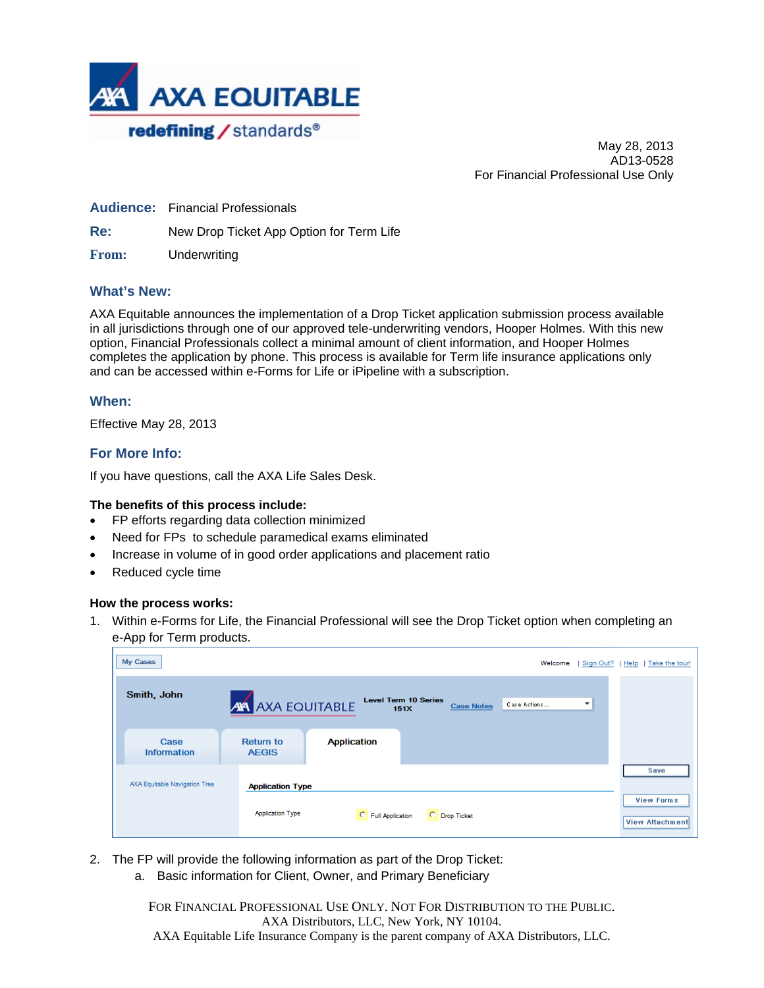

May 28, 2013 AD13-0528 For Financial Professional Use Only

**Audience:** Financial Professionals

**Re:** New Drop Ticket App Option for Term Life

**From:** Underwriting

### **What's New:**

AXA Equitable announces the implementation of a Drop Ticket application submission process available in all jurisdictions through one of our approved tele-underwriting vendors, Hooper Holmes. With this new option, Financial Professionals collect a minimal amount of client information, and Hooper Holmes completes the application by phone. This process is available for Term life insurance applications only and can be accessed within e-Forms for Life or iPipeline with a subscription.

### **When:**

Effective May 28, 2013

### **For More Info:**

If you have questions, call the AXA Life Sales Desk.

#### **The benefits of this process include:**

- FP efforts regarding data collection minimized
- Need for FPs to schedule paramedical exams eliminated
- Increase in volume of in good order applications and placement ratio
- Reduced cycle time

#### **How the process works:**

1. Within e-Forms for Life, the Financial Professional will see the Drop Ticket option when completing an e-App for Term products.

| My Cases                      |                                  |                    |                                     |                   | Welcome      |   | Sign Out?   Help   Take the tour!           |
|-------------------------------|----------------------------------|--------------------|-------------------------------------|-------------------|--------------|---|---------------------------------------------|
| Smith, John                   | <b>AVA AXA EQUITABLE</b>         |                    | <b>Level Term 10 Series</b><br>151X | <b>Case Notes</b> | Case Actions | ▼ |                                             |
| Case<br><b>Information</b>    | <b>Return to</b><br><b>AEGIS</b> | <b>Application</b> |                                     |                   |              |   |                                             |
| AXA Equitable Navigation Tree | <b>Application Type</b>          |                    |                                     |                   |              |   | Save                                        |
|                               | <b>Application Type</b>          | C Full Application | C Drop Ticket                       |                   |              |   | <b>View Forms</b><br><b>View Attachment</b> |

- 2. The FP will provide the following information as part of the Drop Ticket:
	- a. Basic information for Client, Owner, and Primary Beneficiary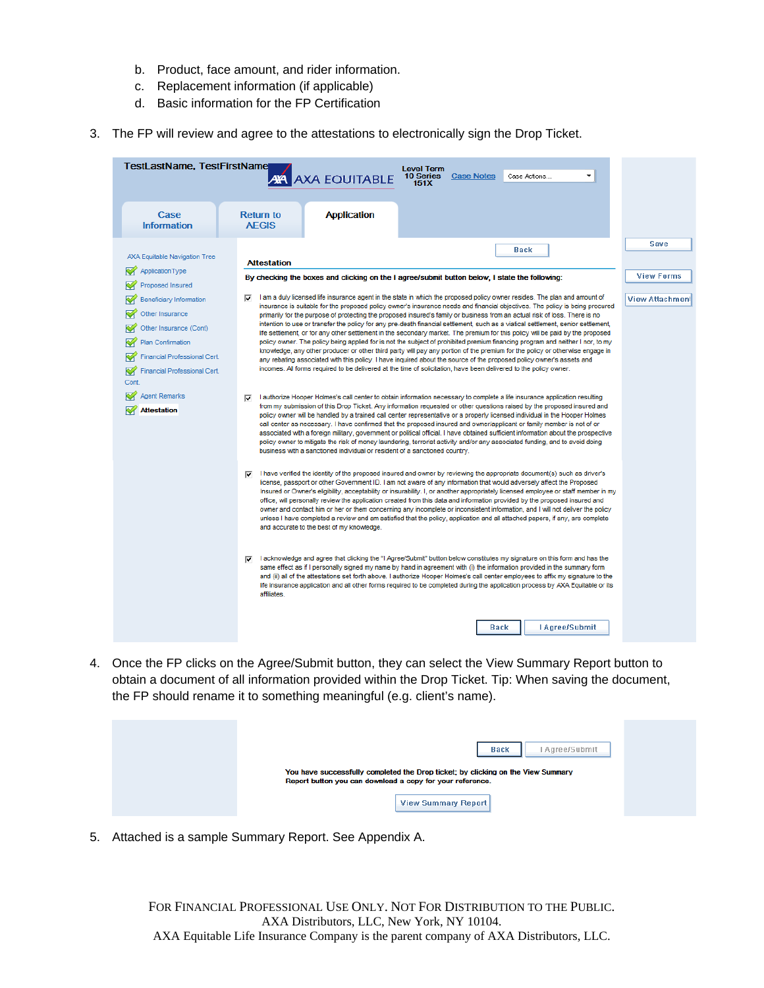- b. Product, face amount, and rider information.
- c. Replacement information (if applicable)
- d. Basic information for the FP Certification
- 3. The FP will review and agree to the attestations to electronically sign the Drop Ticket.

| TestLastName, TestFirstName                                                                                                                                                                                                                     | <b>Level Term</b><br><b>AVA AXA EQUITABLE</b><br>10 Series<br><b>Case Notes</b><br>٠<br>Case Actions<br>151X                                                                                                                                                                                                                                                                                                                                                                                                                                                                                                                                                                                                                                                                                                                                                                                                                                                                                                                                                                                                                                                                                                                                                                                                                                                                                                                                                                                                                         |                                                     |
|-------------------------------------------------------------------------------------------------------------------------------------------------------------------------------------------------------------------------------------------------|--------------------------------------------------------------------------------------------------------------------------------------------------------------------------------------------------------------------------------------------------------------------------------------------------------------------------------------------------------------------------------------------------------------------------------------------------------------------------------------------------------------------------------------------------------------------------------------------------------------------------------------------------------------------------------------------------------------------------------------------------------------------------------------------------------------------------------------------------------------------------------------------------------------------------------------------------------------------------------------------------------------------------------------------------------------------------------------------------------------------------------------------------------------------------------------------------------------------------------------------------------------------------------------------------------------------------------------------------------------------------------------------------------------------------------------------------------------------------------------------------------------------------------------|-----------------------------------------------------|
| Case<br><b>Information</b>                                                                                                                                                                                                                      | <b>Application</b><br><b>Return to</b><br><b>AEGIS</b>                                                                                                                                                                                                                                                                                                                                                                                                                                                                                                                                                                                                                                                                                                                                                                                                                                                                                                                                                                                                                                                                                                                                                                                                                                                                                                                                                                                                                                                                               |                                                     |
| <b>AXA Equitable Navigation Tree</b><br>ApplicationType<br>Proposed Insured<br>Beneficiary Information<br>Other Insurance<br>Other Insurance (Cont)<br>Plan Confirmation<br><b>Financial Professional Cert.</b><br>Financial Professional Cert. | Back<br><b>Attestation</b><br>By checking the boxes and clicking on the I agree/submit button below. I state the following:<br>I am a duly licensed life insurance agent in the state in which the proposed policy owner resides. The plan and amount of<br>⊽<br>insurance is suitable for the proposed policy owner's insurance needs and financial objectives. The policy is being procured<br>primarily for the purpose of protecting the proposed insured's family or business from an actual risk of loss. There is no<br>intention to use or transfer the policy for any pre-death financial settlement, such as a viatical settlement, senior settlement,<br>life settlement, or for any other settlement in the secondary market. The premium for this policy will be paid by the proposed<br>policy owner. The policy being applied for is not the subject of prohibited premium financing program and neither I nor, to my<br>knowledge, any other producer or other third party will pay any portion of the premium for the policy or otherwise engage in<br>any rebating associated with this policy. I have inquired about the source of the proposed policy owner's assets and<br>incomes. All forms required to be delivered at the time of solicitation, have been delivered to the policy owner.                                                                                                                                                                                                                    | Save<br><b>View Forms</b><br><b>View Attachment</b> |
| Cont<br><b>Agent Remarks</b><br><b>Attestation</b>                                                                                                                                                                                              | I authorize Hooper Holmes's call center to obtain information necessary to complete a life insurance application resulting<br>⊽<br>from my submission of this Drop Ticket. Any information requested or other questions raised by the proposed insured and<br>policy owner will be handled by a trained call center representative or a properly licensed individual in the Hooper Holmes<br>call center as necessary. I have confirmed that the proposed insured and owner/applicant or family member is not of or<br>associated with a foreign military, government or political official. I have obtained sufficient information about the prospective<br>policy owner to mitigate the risk of money laundering, terrorist activity and/or any associated funding, and to avoid doing<br>business with a sanctioned individual or resident of a sanctioned country.<br>I have verified the identity of the proposed insured and owner by reviewing the appropriate document(s) such as driver's<br>⊽<br>license, passport or other Government ID. I am not aware of any information that would adversely affect the Proposed<br>Insured or Owner's eligibility, acceptability or insurability. I, or another appropriately licensed employee or staff member in my<br>office, will personally review the application created from this data and information provided by the proposed insured and<br>owner and contact him or her or them concerning any incomplete or inconsistent information, and I will not deliver the policy |                                                     |
|                                                                                                                                                                                                                                                 | unless I have completed a review and am satisfied that the policy, application and all attached papers, if any, are complete<br>and accurate to the best of my knowledge.<br>acknowledge and agree that clicking the "I Agree/Submit" button below constitutes my signature on this form and has the<br>same effect as if I personally signed my name by hand in agreement with (i) the information provided in the summary form<br>and (ii) all of the attestations set forth above. I authorize Hooper Holmes's call center employees to affix my signature to the<br>life insurance application and all other forms required to be completed during the application process by AXA Equitable or its<br>affiliates.<br>I Agree/Submit<br><b>Back</b>                                                                                                                                                                                                                                                                                                                                                                                                                                                                                                                                                                                                                                                                                                                                                                               |                                                     |

4. Once the FP clicks on the Agree/Submit button, they can select the View Summary Report button to obtain a document of all information provided within the Drop Ticket. Tip: When saving the document, the FP should rename it to something meaningful (e.g. client's name).

| <b>Back</b><br>Agree/Submit                                                                                                                                                 |  |
|-----------------------------------------------------------------------------------------------------------------------------------------------------------------------------|--|
| You have successfully completed the Drop ticket; by clicking on the View Summary<br>Report button you can download a copy for your reference.<br><b>View Summary Report</b> |  |

5. Attached is a sample Summary Report. See Appendix A.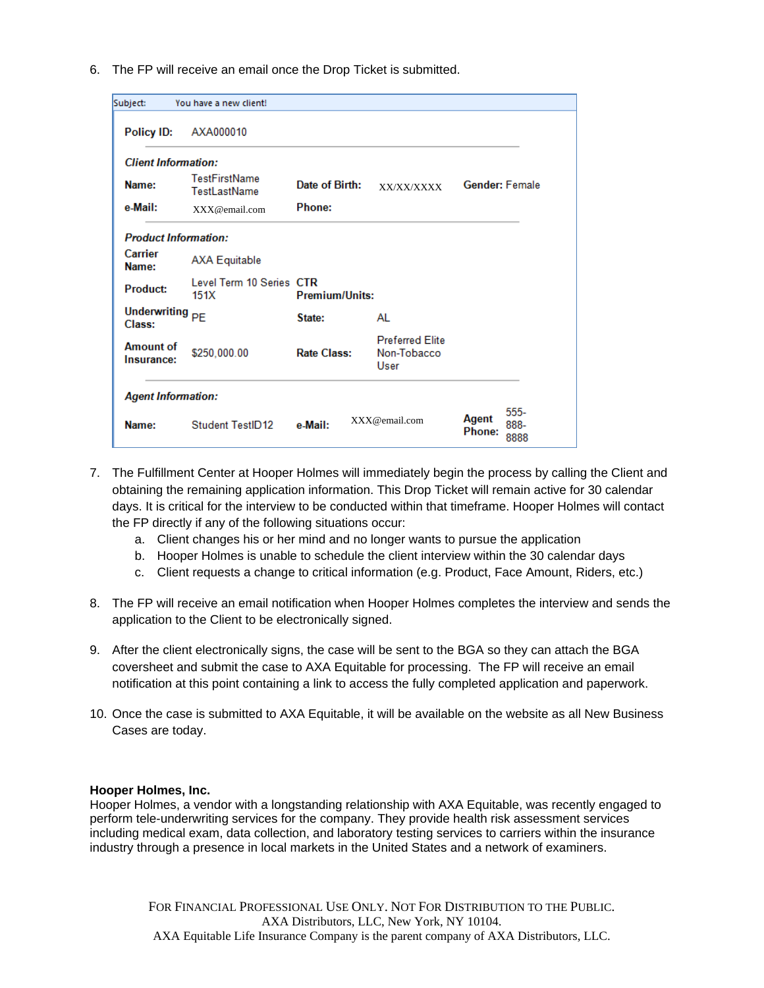6. The FP will receive an email once the Drop Ticket is submitted.

| Subject:                             | You have a new client!                      |                       |                                               |                       |                        |  |
|--------------------------------------|---------------------------------------------|-----------------------|-----------------------------------------------|-----------------------|------------------------|--|
| Policy ID:                           | AXA000010                                   |                       |                                               |                       |                        |  |
| <b>Client Information:</b>           |                                             |                       |                                               |                       |                        |  |
| Name:                                | <b>TestFirstName</b><br><b>TestLastName</b> | Date of Birth:        | XX/XX/XXXX                                    | <b>Gender: Female</b> |                        |  |
| e Mail:                              | XXX@email.com                               | Phone:                |                                               |                       |                        |  |
| <b>Product Information:</b>          |                                             |                       |                                               |                       |                        |  |
| Carrier<br>Name:                     | <b>AXA Equitable</b>                        |                       |                                               |                       |                        |  |
| <b>Product:</b>                      | Level Term 10 Series CTR<br>151X            | <b>Premium/Units:</b> |                                               |                       |                        |  |
| Underwriting <sub>PE</sub><br>Class: |                                             | State:                | AL                                            |                       |                        |  |
| <b>Amount of</b><br>Insurance:       | \$250,000.00                                | <b>Rate Class:</b>    | <b>Preferred Elite</b><br>Non-Tobacco<br>User |                       |                        |  |
| <b>Agent Information:</b>            |                                             |                       |                                               |                       |                        |  |
| Name:                                | Student TestID12                            | e Mail:               | XXX@email.com                                 | Agent<br>Phone:       | $555-$<br>888-<br>8888 |  |

- 7. The Fulfillment Center at Hooper Holmes will immediately begin the process by calling the Client and obtaining the remaining application information. This Drop Ticket will remain active for 30 calendar days. It is critical for the interview to be conducted within that timeframe. Hooper Holmes will contact the FP directly if any of the following situations occur:
	- a. Client changes his or her mind and no longer wants to pursue the application
	- b. Hooper Holmes is unable to schedule the client interview within the 30 calendar days
	- c. Client requests a change to critical information (e.g. Product, Face Amount, Riders, etc.)
- 8. The FP will receive an email notification when Hooper Holmes completes the interview and sends the application to the Client to be electronically signed.
- 9. After the client electronically signs, the case will be sent to the BGA so they can attach the BGA coversheet and submit the case to AXA Equitable for processing. The FP will receive an email notification at this point containing a link to access the fully completed application and paperwork.
- 10. Once the case is submitted to AXA Equitable, it will be available on the website as all New Business Cases are today.

#### **Hooper Holmes, Inc.**

Hooper Holmes, a vendor with a longstanding relationship with AXA Equitable, was recently engaged to perform tele-underwriting services for the company. They provide health risk assessment services including medical exam, data collection, and laboratory testing services to carriers within the insurance industry through a presence in local markets in the United States and a network of examiners.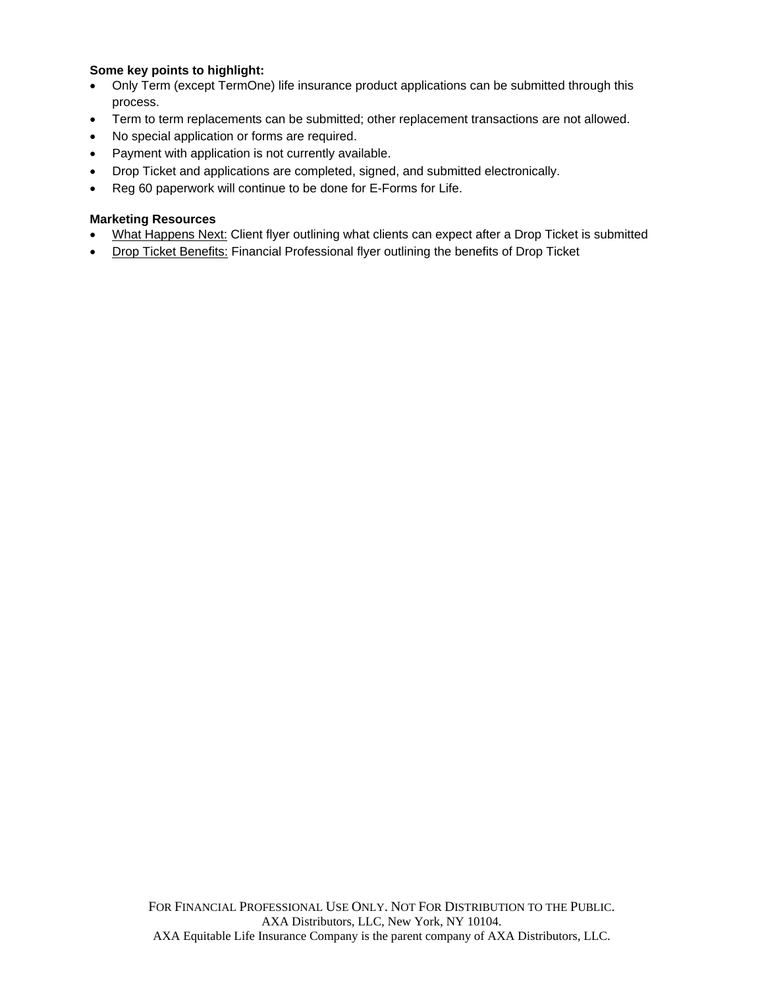## **Some key points to highlight:**

- Only Term (except TermOne) life insurance product applications can be submitted through this process.
- Term to term replacements can be submitted; other replacement transactions are not allowed.
- No special application or forms are required.
- Payment with application is not currently available.
- Drop Ticket and applications are completed, signed, and submitted electronically.
- Reg 60 paperwork will continue to be done for E-Forms for Life.

## **Marketing Resources**

- [What Happens Next: C](https://www.axa-equitable.com/email-attachments/w/lif/2013/151685.pdf)lient flyer outlining what clients can expect after a Drop Ticket is submitted
- [Drop Ticket Benefits:](https://www.axa-equitable.com/email-attachments/w/lif/2013/151681.pdf) Financial Professional flyer outlining the benefits of Drop Ticket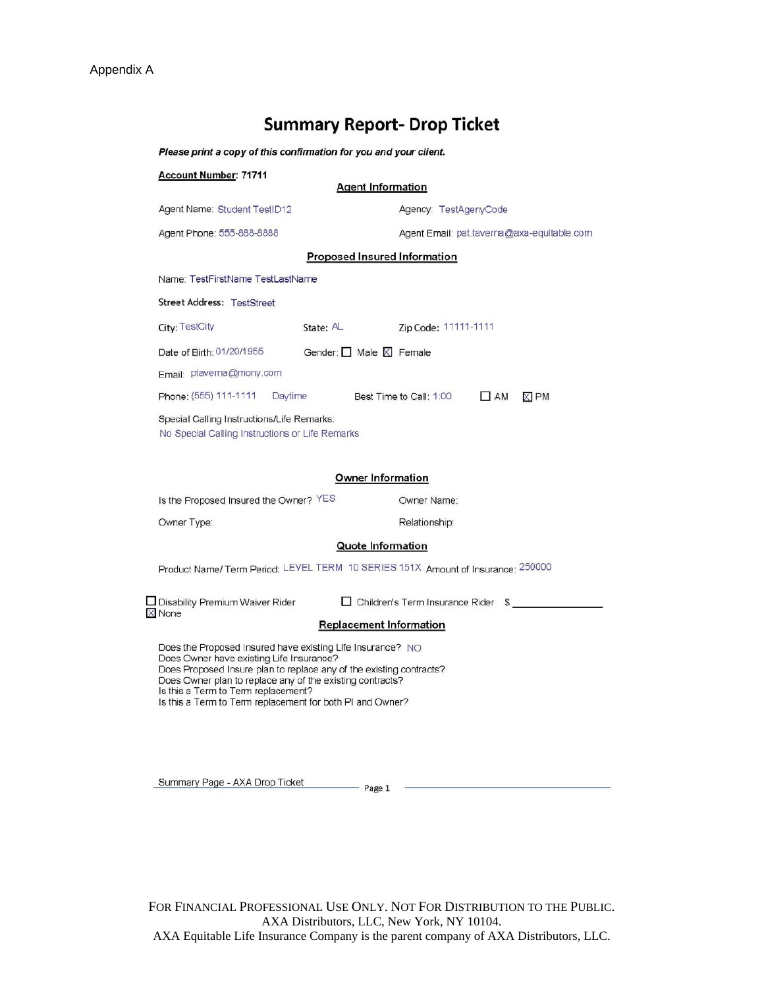# **Summary Report- Drop Ticket**

Please print a copy of this confirmation for you and your client.

| <b>Account Number: 71711</b>                                                                                                                                                                                                                                                                                                                   | <b>Agent Information</b>               |                                                                                 |
|------------------------------------------------------------------------------------------------------------------------------------------------------------------------------------------------------------------------------------------------------------------------------------------------------------------------------------------------|----------------------------------------|---------------------------------------------------------------------------------|
| Agent Name: Student TestID12                                                                                                                                                                                                                                                                                                                   |                                        | Agency: TestAgenyCode                                                           |
| Agent Phone: 555-888-8888                                                                                                                                                                                                                                                                                                                      |                                        | Agent Email: pat.taverna@axa-equitable.com                                      |
|                                                                                                                                                                                                                                                                                                                                                | <b>Proposed Insured Information</b>    |                                                                                 |
| Name: TestFirstName TestLastName                                                                                                                                                                                                                                                                                                               |                                        |                                                                                 |
| <b>Street Address: TestStreet</b>                                                                                                                                                                                                                                                                                                              |                                        |                                                                                 |
| City: TestCity                                                                                                                                                                                                                                                                                                                                 | State: AL                              | Zip Code: 11111-1111                                                            |
| Date of Birth: 01/20/1955                                                                                                                                                                                                                                                                                                                      | Gender: $\Box$ Male $\boxtimes$ Female |                                                                                 |
| Email: ptaverna@mony.com                                                                                                                                                                                                                                                                                                                       |                                        |                                                                                 |
| Phone: (555) 111-1111<br>Daytime                                                                                                                                                                                                                                                                                                               |                                        | Best Time to Call: 1:00<br>$\Box$ AM<br><b>XIPM</b>                             |
| Special Calling Instructions/Life Remarks:<br>No Special Calling Instructions or Life Remarks                                                                                                                                                                                                                                                  |                                        |                                                                                 |
|                                                                                                                                                                                                                                                                                                                                                | <b>Owner Information</b>               |                                                                                 |
| Is the Proposed Insured the Owner? YES                                                                                                                                                                                                                                                                                                         |                                        | Owner Name:                                                                     |
| Owner Type:                                                                                                                                                                                                                                                                                                                                    |                                        | Relationship:                                                                   |
|                                                                                                                                                                                                                                                                                                                                                | <b>Quote Information</b>               | Product Name/Term Period: LEVEL TERM 10 SERIES 151X Amount of Insurance: 250000 |
| Disability Premium Waiver Rider<br>X None                                                                                                                                                                                                                                                                                                      |                                        | $\Box$ Children's Term Insurance Rider $\sqrt{s}$                               |
|                                                                                                                                                                                                                                                                                                                                                | <b>Replacement Information</b>         |                                                                                 |
| Does the Proposed Insured have existing Life Insurance? NO<br>Does Owner have existing Life Insurance?<br>Does Proposed Insure plan to replace any of the existing contracts?<br>Does Owner plan to replace any of the existing contracts?<br>Is this a Term to Term replacement?<br>Is this a Term to Term replacement for both PI and Owner? |                                        |                                                                                 |

Summary Page - AXA Drop Ticket

- Page 1